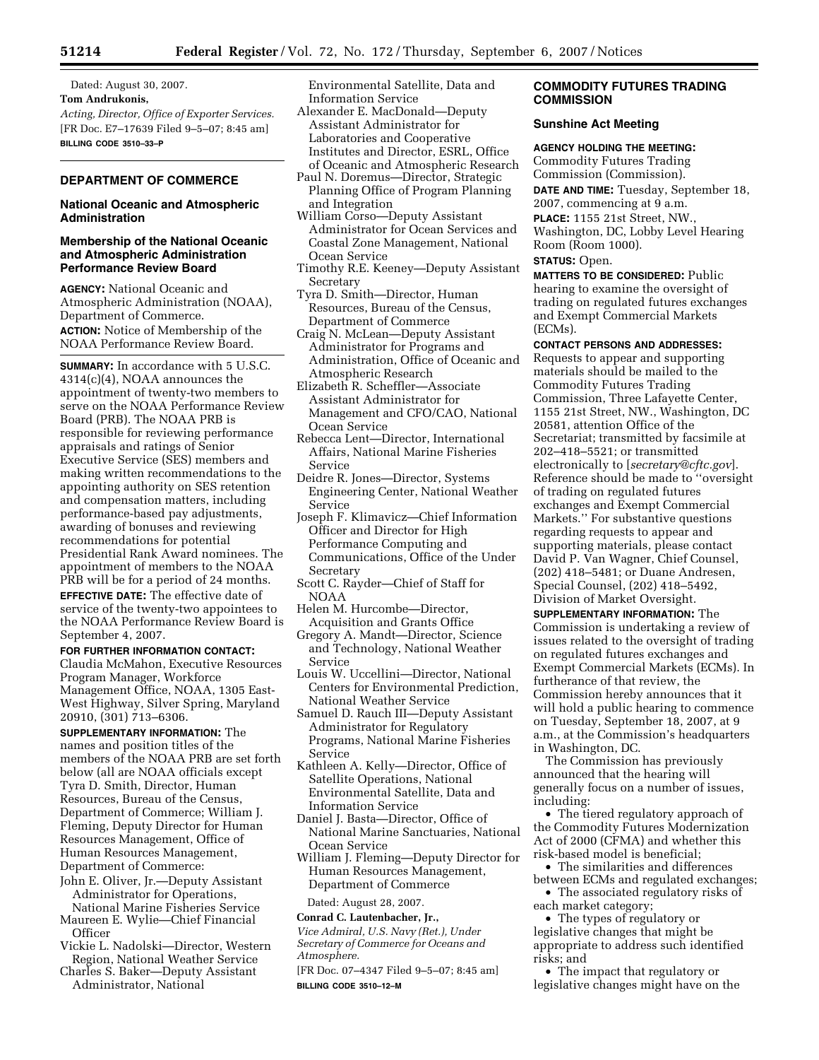Dated: August 30, 2007. **Tom Andrukonis,**  *Acting, Director, Office of Exporter Services.*  [FR Doc. E7–17639 Filed 9–5–07; 8:45 am] **BILLING CODE 3510–33–P** 

## **DEPARTMENT OF COMMERCE**

## **National Oceanic and Atmospheric Administration**

## **Membership of the National Oceanic and Atmospheric Administration Performance Review Board**

**AGENCY:** National Oceanic and Atmospheric Administration (NOAA), Department of Commerce. **ACTION:** Notice of Membership of the NOAA Performance Review Board.

**SUMMARY:** In accordance with 5 U.S.C. 4314(c)(4), NOAA announces the appointment of twenty-two members to serve on the NOAA Performance Review Board (PRB). The NOAA PRB is responsible for reviewing performance appraisals and ratings of Senior Executive Service (SES) members and making written recommendations to the appointing authority on SES retention and compensation matters, including performance-based pay adjustments, awarding of bonuses and reviewing recommendations for potential Presidential Rank Award nominees. The appointment of members to the NOAA PRB will be for a period of 24 months. **EFFECTIVE DATE:** The effective date of service of the twenty-two appointees to the NOAA Performance Review Board is September 4, 2007.

**FOR FURTHER INFORMATION CONTACT:**  Claudia McMahon, Executive Resources Program Manager, Workforce Management Office, NOAA, 1305 East-West Highway, Silver Spring, Maryland 20910, (301) 713–6306.

**SUPPLEMENTARY INFORMATION:** The names and position titles of the members of the NOAA PRB are set forth below (all are NOAA officials except Tyra D. Smith, Director, Human Resources, Bureau of the Census, Department of Commerce; William J. Fleming, Deputy Director for Human Resources Management, Office of Human Resources Management, Department of Commerce:

John E. Oliver, Jr.—Deputy Assistant Administrator for Operations,

National Marine Fisheries Service Maureen E. Wylie—Chief Financial **Officer** 

- Vickie L. Nadolski—Director, Western Region, National Weather Service
- Charles S. Baker—Deputy Assistant Administrator, National

Environmental Satellite, Data and Information Service

- Alexander E. MacDonald—Deputy Assistant Administrator for Laboratories and Cooperative Institutes and Director, ESRL, Office of Oceanic and Atmospheric Research
- Paul N. Doremus—Director, Strategic Planning Office of Program Planning and Integration
- William Corso—Deputy Assistant Administrator for Ocean Services and Coastal Zone Management, National Ocean Service
- Timothy R.E. Keeney—Deputy Assistant Secretary
- Tyra D. Smith—Director, Human Resources, Bureau of the Census, Department of Commerce
- Craig N. McLean—Deputy Assistant Administrator for Programs and Administration, Office of Oceanic and Atmospheric Research
- Elizabeth R. Scheffler—Associate Assistant Administrator for Management and CFO/CAO, National Ocean Service
- Rebecca Lent—Director, International Affairs, National Marine Fisheries Service
- Deidre R. Jones—Director, Systems Engineering Center, National Weather Service
- Joseph F. Klimavicz—Chief Information Officer and Director for High Performance Computing and Communications, Office of the Under Secretary
- Scott C. Rayder—Chief of Staff for NOAA
- Helen M. Hurcombe—Director, Acquisition and Grants Office
- Gregory A. Mandt—Director, Science and Technology, National Weather Service
- Louis W. Uccellini—Director, National Centers for Environmental Prediction, National Weather Service

Samuel D. Rauch III—Deputy Assistant Administrator for Regulatory Programs, National Marine Fisheries Service

- Kathleen A. Kelly—Director, Office of Satellite Operations, National Environmental Satellite, Data and Information Service
- Daniel J. Basta—Director, Office of National Marine Sanctuaries, National Ocean Service
- William J. Fleming—Deputy Director for Human Resources Management, Department of Commerce

Dated: August 28, 2007.

# **Conrad C. Lautenbacher, Jr.,**

*Vice Admiral, U.S. Navy (Ret.), Under Secretary of Commerce for Oceans and Atmosphere.* 

[FR Doc. 07–4347 Filed 9–5–07; 8:45 am] **BILLING CODE 3510–12–M** 

## **COMMODITY FUTURES TRADING COMMISSION**

## **Sunshine Act Meeting**

### **AGENCY HOLDING THE MEETING:**

Commodity Futures Trading Commission (Commission). **DATE AND TIME:** Tuesday, September 18,

2007, commencing at 9 a.m.

**PLACE:** 1155 21st Street, NW., Washington, DC, Lobby Level Hearing Room (Room 1000). **STATUS:** Open.

**MATTERS TO BE CONSIDERED:** Public hearing to examine the oversight of trading on regulated futures exchanges and Exempt Commercial Markets (ECMs).

**CONTACT PERSONS AND ADDRESSES:** 

Requests to appear and supporting materials should be mailed to the Commodity Futures Trading Commission, Three Lafayette Center, 1155 21st Street, NW., Washington, DC 20581, attention Office of the Secretariat; transmitted by facsimile at 202–418–5521; or transmitted electronically to [*secretary@cftc.gov*]. Reference should be made to ''oversight of trading on regulated futures exchanges and Exempt Commercial Markets.'' For substantive questions regarding requests to appear and supporting materials, please contact David P. Van Wagner, Chief Counsel, (202) 418–5481; or Duane Andresen, Special Counsel, (202) 418–5492, Division of Market Oversight.

**SUPPLEMENTARY INFORMATION:** The Commission is undertaking a review of issues related to the oversight of trading on regulated futures exchanges and Exempt Commercial Markets (ECMs). In furtherance of that review, the Commission hereby announces that it will hold a public hearing to commence on Tuesday, September 18, 2007, at 9 a.m., at the Commission's headquarters in Washington, DC.

The Commission has previously announced that the hearing will generally focus on a number of issues, including:

• The tiered regulatory approach of the Commodity Futures Modernization Act of 2000 (CFMA) and whether this risk-based model is beneficial;

• The similarities and differences between ECMs and regulated exchanges;

• The associated regulatory risks of each market category;

• The types of regulatory or legislative changes that might be appropriate to address such identified

risks; and

• The impact that regulatory or legislative changes might have on the